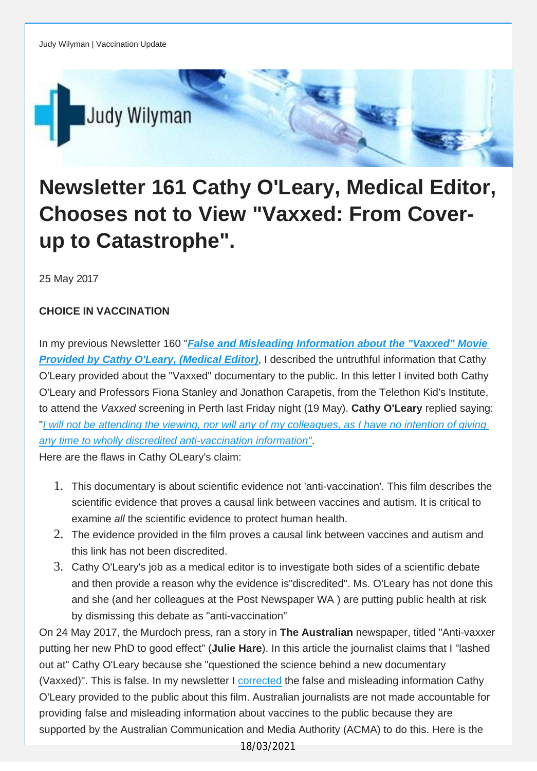

## **Newsletter 161 Cathy O'Leary, Medical Editor, Chooses not to View "Vaxxed: From Coverup to Catastrophe".**

25 May 2017

## **CHOICE IN VACCINATION**

In my previous Newsletter 160 "*False and Misleading [Information](http://vaccinationdecisions.us8.list-manage.com/track/click?u=f20605fde3732e41929f4a3f2&id=1f93bfa8ec&e=fec8337d3c) about the "Vaxxed" Movie [Provided](http://vaccinationdecisions.us8.list-manage.com/track/click?u=f20605fde3732e41929f4a3f2&id=1f93bfa8ec&e=fec8337d3c) by Cathy O'Leary, (Medical Editor)*, I described the untruthful information that Cathy O'Leary provided about the "Vaxxed" documentary to the public. In this letter I invited both Cathy O'Leary and Professors Fiona Stanley and Jonathon Carapetis, from the Telethon Kid's Institute, to attend the *Vaxxed* screening in Perth last Friday night (19 May). **Cathy O'Leary** replied saying: "I will not be attending the viewing, nor will any of my [colleagues,](http://vaccinationdecisions.us8.list-manage.com/track/click?u=f20605fde3732e41929f4a3f2&id=b7ca2a1980&e=fec8337d3c) as I have no intention of giving *any time to wholly discredited [anti-vaccination](http://vaccinationdecisions.us8.list-manage.com/track/click?u=f20605fde3732e41929f4a3f2&id=b7ca2a1980&e=fec8337d3c) information"*.

Here are the flaws in Cathy OLeary's claim:

- 1. This documentary is about scientific evidence not 'anti-vaccination'. This film describes the scientific evidence that proves a causal link between vaccines and autism. It is critical to examine *all* the scientific evidence to protect human health.
- 2. The evidence provided in the film proves a causal link between vaccines and autism and this link has not been discredited.
- 3. Cathy O'Leary's job as a medical editor is to investigate both sides of a scientific debate and then provide a reason why the evidence is"discredited". Ms. O'Leary has not done this and she (and her colleagues at the Post Newspaper WA ) are putting public health at risk by dismissing this debate as "anti-vaccination"

On 24 May 2017, the Murdoch press, ran a story in **The Australian** newspaper, titled "Anti-vaxxer putting her new PhD to good effect" (**Julie Hare**). In this article the journalist claims that I "lashed out at" Cathy O'Leary because she "questioned the science behind a new documentary (Vaxxed)". This is false. In my newsletter I [corrected](http://vaccinationdecisions.us8.list-manage.com/track/click?u=f20605fde3732e41929f4a3f2&id=e6010c2a59&e=fec8337d3c) the false and misleading information Cathy O'Leary provided to the public about this film. Australian journalists are not made accountable for providing false and misleading information about vaccines to the public because they are supported by the Australian Communication and Media Authority (ACMA) to do this. Here is the

18/03/2021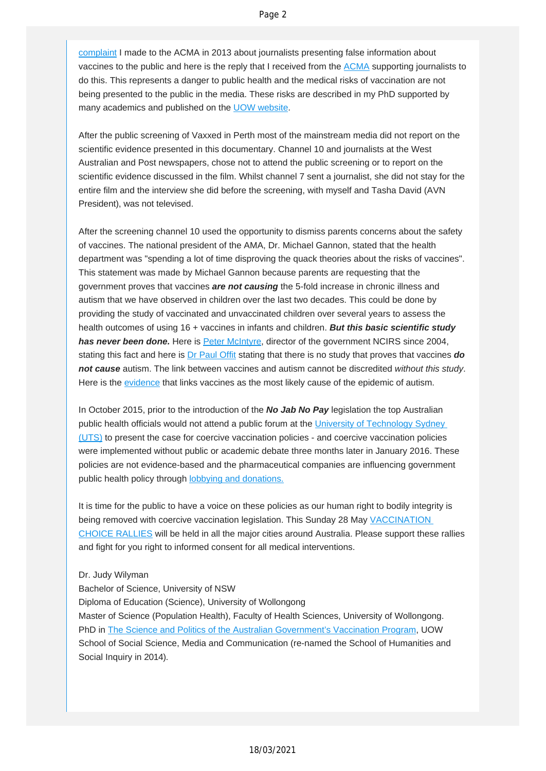[complaint](http://vaccinationdecisions.us8.list-manage.com/track/click?u=f20605fde3732e41929f4a3f2&id=c0a6d36317&e=fec8337d3c) I made to the ACMA in 2013 about journalists presenting false information about vaccines to the public and here is the reply that I received from the [ACMA](http://vaccinationdecisions.us8.list-manage1.com/track/click?u=f20605fde3732e41929f4a3f2&id=a60bfce589&e=fec8337d3c) supporting journalists to do this. This represents a danger to public health and the medical risks of vaccination are not being presented to the public in the media. These risks are described in my PhD supported by many academics and published on the [UOW website.](http://vaccinationdecisions.us8.list-manage1.com/track/click?u=f20605fde3732e41929f4a3f2&id=66395f37f1&e=fec8337d3c)

After the public screening of Vaxxed in Perth most of the mainstream media did not report on the scientific evidence presented in this documentary. Channel 10 and journalists at the West Australian and Post newspapers, chose not to attend the public screening or to report on the scientific evidence discussed in the film. Whilst channel 7 sent a journalist, she did not stay for the entire film and the interview she did before the screening, with myself and Tasha David (AVN President), was not televised.

After the screening channel 10 used the opportunity to dismiss parents concerns about the safety of vaccines. The national president of the AMA, Dr. Michael Gannon, stated that the health department was "spending a lot of time disproving the quack theories about the risks of vaccines". This statement was made by Michael Gannon because parents are requesting that the government proves that vaccines *are not causing* the 5-fold increase in chronic illness and autism that we have observed in children over the last two decades. This could be done by providing the study of vaccinated and unvaccinated children over several years to assess the health outcomes of using 16 + vaccines in infants and children. *But this basic scientific study has never been done.* Here is [Peter McIntyre](http://vaccinationdecisions.us8.list-manage.com/track/click?u=f20605fde3732e41929f4a3f2&id=b9fbb42d92&e=fec8337d3c), director of the government NCIRS since 2004, stating this fact and here is [Dr Paul Offit](http://vaccinationdecisions.us8.list-manage.com/track/click?u=f20605fde3732e41929f4a3f2&id=e362415f70&e=fec8337d3c) stating that there is no study that proves that vaccines *do not cause* autism. The link between vaccines and autism cannot be discredited *without this study*. Here is the [evidence](http://vaccinationdecisions.us8.list-manage.com/track/click?u=f20605fde3732e41929f4a3f2&id=198ea1596f&e=fec8337d3c) that links vaccines as the most likely cause of the epidemic of autism.

In October 2015, prior to the introduction of the *No Jab No Pay* legislation the top Australian public health officials would not attend a public forum at the University of Technology Sydney [\(UTS\)](http://vaccinationdecisions.us8.list-manage1.com/track/click?u=f20605fde3732e41929f4a3f2&id=8942b7affa&e=fec8337d3c) to present the case for coercive vaccination policies - and coercive vaccination policies were implemented without public or academic debate three months later in January 2016. These policies are not evidence-based and the pharmaceutical companies are influencing government public health policy through **[lobbying and donations.](http://vaccinationdecisions.us8.list-manage2.com/track/click?u=f20605fde3732e41929f4a3f2&id=f7ac57683b&e=fec8337d3c)** 

It is time for the public to have a voice on these policies as our human right to bodily integrity is being removed with coercive vaccination legislation. This Sunday 28 May VACCINATION [CHOICE RALLIES](http://vaccinationdecisions.us8.list-manage.com/track/click?u=f20605fde3732e41929f4a3f2&id=7da2373b82&e=fec8337d3c) will be held in all the major cities around Australia. Please support these rallies and fight for you right to informed consent for all medical interventions.

## Dr. Judy Wilyman

Bachelor of Science, University of NSW Diploma of Education (Science), University of Wollongong Master of Science (Population Health), Faculty of Health Sciences, University of Wollongong. PhD in [The Science and Politics of the Australian Government's Vaccination Program](http://vaccinationdecisions.us8.list-manage.com/track/click?u=f20605fde3732e41929f4a3f2&id=bb21108461&e=fec8337d3c), UOW School of Social Science, Media and Communication (re-named the School of Humanities and Social Inquiry in 2014).